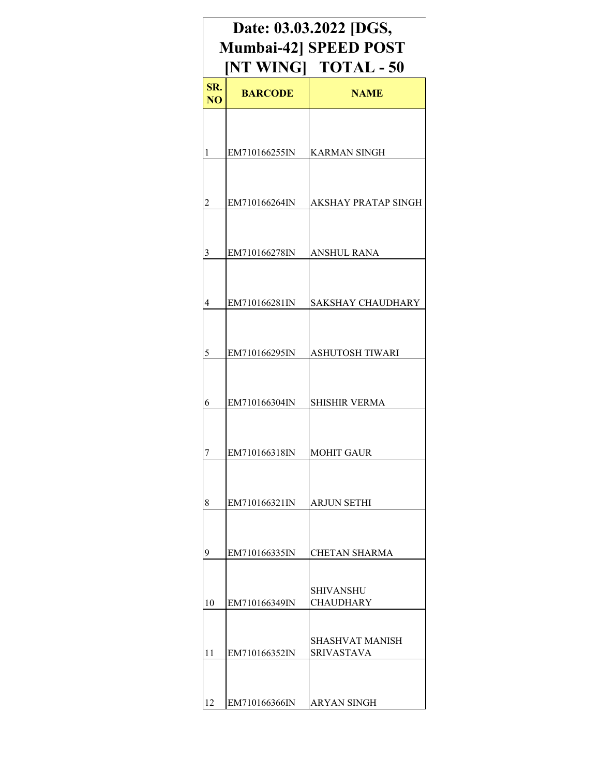| Date: 03.03.2022 [DGS,<br><b>Mumbai-42] SPEED POST</b><br>[NT WING] TOTAL - 50 |                |                               |  |  |
|--------------------------------------------------------------------------------|----------------|-------------------------------|--|--|
| SR.<br>N <sub>O</sub>                                                          | <b>BARCODE</b> | <b>NAME</b>                   |  |  |
|                                                                                |                |                               |  |  |
| 1                                                                              | EM710166255IN  | <b>KARMAN SINGH</b>           |  |  |
| 2                                                                              | EM710166264IN  | AKSHAY PRATAP SINGH           |  |  |
| 3                                                                              | EM710166278IN  | <b>ANSHUL RANA</b>            |  |  |
| 4                                                                              | EM710166281IN  | <b>SAKSHAY CHAUDHARY</b>      |  |  |
| 5                                                                              | EM710166295IN  | ASHUTOSH TIWARI               |  |  |
| 6                                                                              | EM710166304IN  | <b>SHISHIR VERMA</b>          |  |  |
| 7                                                                              | EM710166318IN  | <b>MOHIT GAUR</b>             |  |  |
| 8                                                                              | EM710166321IN  | ARJUN SETHI                   |  |  |
| 9                                                                              | EM710166335IN  | <b>CHETAN SHARMA</b>          |  |  |
| 10                                                                             | EM710166349IN  | SHIVANSHU<br><b>CHAUDHARY</b> |  |  |
| 11                                                                             | EM710166352IN  | SHASHVAT MANISH<br>SRIVASTAVA |  |  |
| 12                                                                             | EM710166366IN  | <b>ARYAN SINGH</b>            |  |  |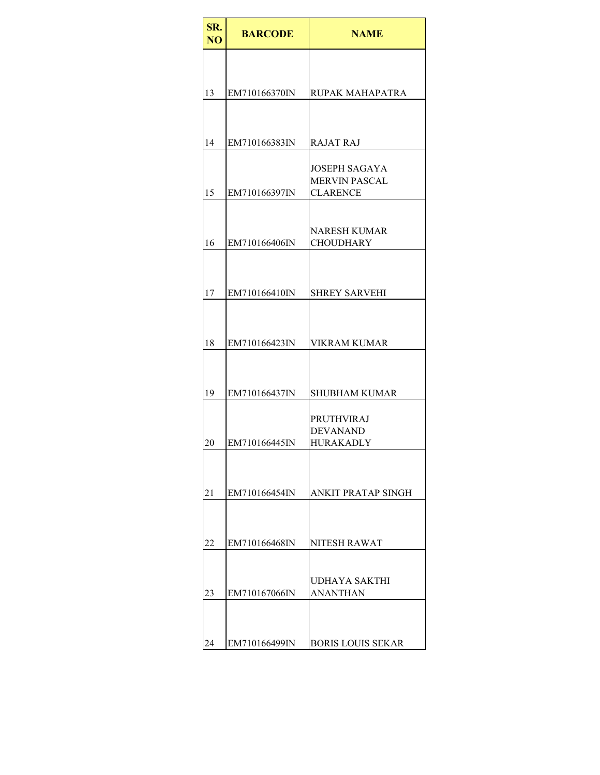| SR.<br>N <sub>O</sub> | <b>BARCODE</b> | <b>NAME</b>                                                     |
|-----------------------|----------------|-----------------------------------------------------------------|
|                       |                |                                                                 |
| 13                    | EM710166370IN  | <b>RUPAK MAHAPATRA</b>                                          |
|                       |                |                                                                 |
| 14                    | EM710166383IN  | RAJAT RAJ                                                       |
| 15                    | EM710166397IN  | <b>JOSEPH SAGAYA</b><br><b>MERVIN PASCAL</b><br><b>CLARENCE</b> |
|                       |                |                                                                 |
| 16                    | EM710166406IN  | <b>NARESH KUMAR</b><br><b>CHOUDHARY</b>                         |
|                       |                |                                                                 |
| 17                    | EM710166410IN  | <b>SHREY SARVEHI</b>                                            |
|                       |                |                                                                 |
| 18                    | EM710166423IN  | <b>VIKRAM KUMAR</b>                                             |
|                       |                |                                                                 |
| 19                    | EM710166437IN  | <b>SHUBHAM KUMAR</b>                                            |
|                       |                | <b>PRUTHVIRAJ</b><br><b>DEVANAND</b>                            |
| 20                    | EM710166445IN  | <b>HURAKADLY</b>                                                |
|                       |                |                                                                 |
| 21                    | EM710166454IN  | <b>ANKIT PRATAP SINGH</b>                                       |
| 22                    | EM710166468IN  | <b>NITESH RAWAT</b>                                             |
|                       |                |                                                                 |
| 23                    | EM710167066IN  | UDHAYA SAKTHI<br><b>ANANTHAN</b>                                |
|                       |                |                                                                 |
| 24                    | EM710166499IN  | <b>BORIS LOUIS SEKAR</b>                                        |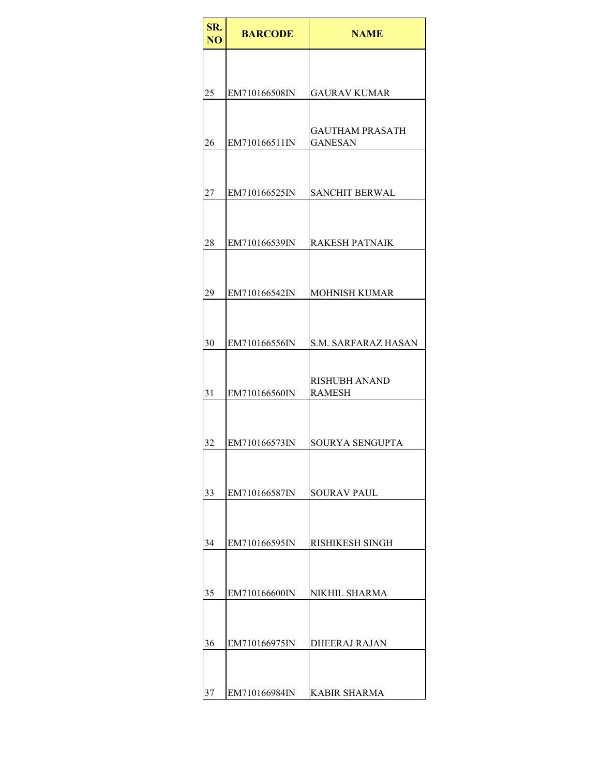| SR.<br>N <sub>O</sub> | <b>BARCODE</b> | <b>NAME</b>                              |
|-----------------------|----------------|------------------------------------------|
|                       |                |                                          |
| 25                    | EM710166508IN  | <b>GAURAV KUMAR</b>                      |
| 26                    | EM710166511IN  | <b>GAUTHAM PRASATH</b><br><b>GANESAN</b> |
| 27                    | EM710166525IN  | <b>SANCHIT BERWAL</b>                    |
| 28                    | EM710166539IN  | <b>RAKESH PATNAIK</b>                    |
| 29                    | EM710166542IN  | <b>MOHNISH KUMAR</b>                     |
| 30                    | EM710166556IN  | <b>S.M. SARFARAZ HASAN</b>               |
| 31                    | EM710166560IN  | <b>RISHUBH ANAND</b><br><b>RAMESH</b>    |
| 32                    | EM710166573IN  | SOURYA SENGUPTA                          |
| 33                    | EM710166587IN  | <b>SOURAV PAUL</b>                       |
| 34                    | EM710166595IN  | RISHIKESH SINGH                          |
| 35                    | EM710166600IN  | NIKHIL SHARMA                            |
| 36                    | EM710166975IN  | <b>DHEERAJ RAJAN</b>                     |
| 37                    | EM710166984IN  | <b>KABIR SHARMA</b>                      |